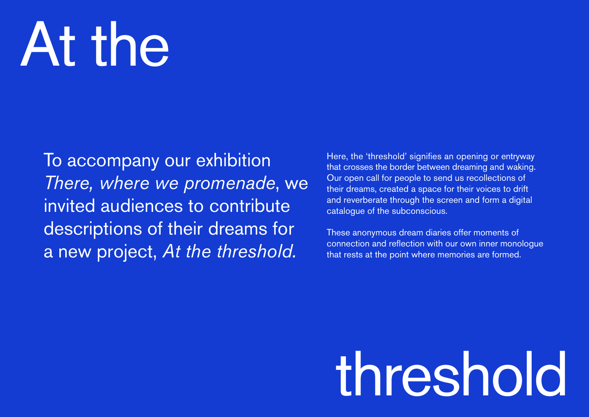## At the

To accompany our exhibition *There, where we promenade*, we invited audiences to contribute descriptions of their dreams for a new project, *At the threshold.* 

Here, the 'threshold' signifies an opening or entryway that crosses the border between dreaming and waking. Our open call for people to send us recollections of their dreams, created a space for their voices to drift and reverberate through the screen and form a digital catalogue of the subconscious.

These anonymous dream diaries offer moments of connection and reflection with our own inner monologue that rests at the point where memories are formed.

## threshold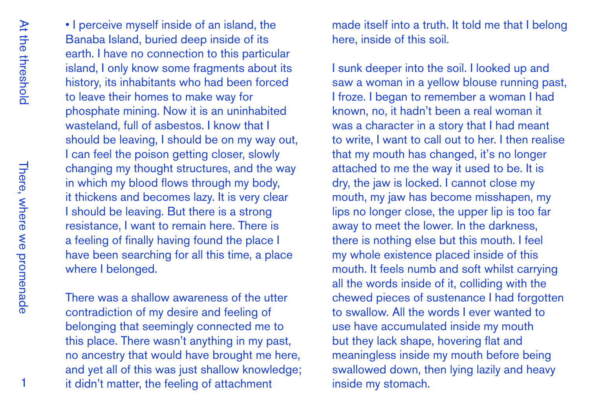• I perceive myself inside of an island, the Banaba Island, buried deep inside of its earth. I have no connection to this particular island, I only know some fragments about its history, its inhabitants who had been forced to leave their homes to make way for phosphate mining. Now it is an uninhabited wasteland, full of asbestos. I know that I should be leaving, I should be on my way out, I can feel the poison getting closer, slowly changing my thought structures, and the way in which my blood flows through my body, it thickens and becomes lazy. It is very clear I should be leaving. But there is a strong resistance, I want to remain here. There is a feeling of finally having found the place I have been searching for all this time, a place where I belonged.

There was a shallow awareness of the utter contradiction of my desire and feeling of belonging that seemingly connected me to this place. There wasn't anything in my past, no ancestry that would have brought me here, and yet all of this was just shallow knowledge; it didn't matter, the feeling of attachment

made itself into a truth. It told me that I belong here, inside of this soil.

I sunk deeper into the soil. I looked up and saw a woman in a yellow blouse running past, I froze. I began to remember a woman I had known, no, it hadn't been a real woman it was a character in a story that I had meant to write, I want to call out to her. I then realise that my mouth has changed, it's no longer attached to me the way it used to be. It is dry, the jaw is locked. I cannot close my mouth, my jaw has become misshapen, my lips no longer close, the upper lip is too far away to meet the lower. In the darkness, there is nothing else but this mouth. I feel my whole existence placed inside of this mouth. It feels numb and soft whilst carrying all the words inside of it, colliding with the chewed pieces of sustenance I had forgotten to swallow. All the words I ever wanted to use have accumulated inside my mouth but they lack shape, hovering flat and meaningless inside my mouth before being swallowed down, then lying lazily and heavy inside my stomach.

1

There, where we promenade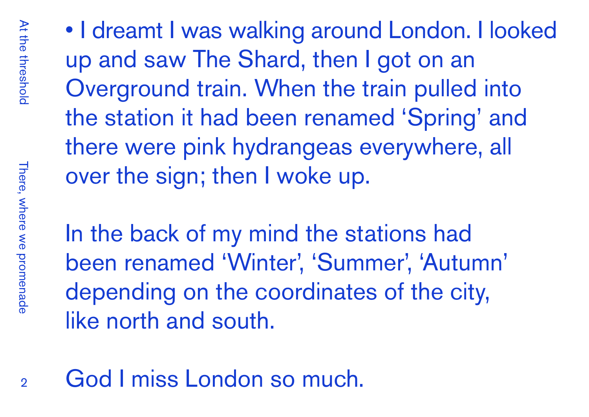• I dreamt I was walking around London. I looked up and saw The Shard, then I got on an Overground train. When the train pulled into the station it had been renamed 'Spring' and there were pink hydrangeas everywhere, all over the sign; then I woke up.

In the back of my mind the stations had been renamed 'Winter', 'Summer', 'Autumn' depending on the coordinates of the city, like north and south.

God I miss London so much.

 $\Omega$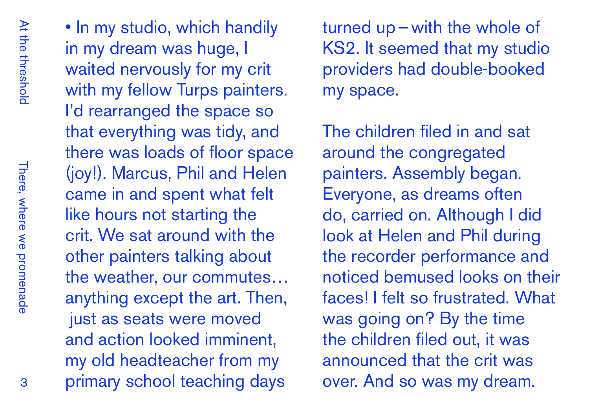• In my studio, which handily in my dream was huge, I waited nervously for my crit with my fellow Turps painters. I'd rearranged the space so that everything was tidy, and there was loads of floor space (joy!). Marcus, Phil and Helen came in and spent what felt like hours not starting the crit. We sat around with the other painters talking about the weather, our commutes… anything except the art. Then, just as seats were moved and action looked imminent, my old headteacher from my primary school teaching days

turned up—with the whole of KS2. It seemed that my studio providers had double-booked my space.

The children filed in and sat around the congregated painters. Assembly began. Everyone, as dreams often do, carried on. Although I did look at Helen and Phil during the recorder performance and noticed bemused looks on their faces! I felt so frustrated. What was going on? By the time the children filed out, it was announced that the crit was over. And so was my dream.

3

There, where we promenade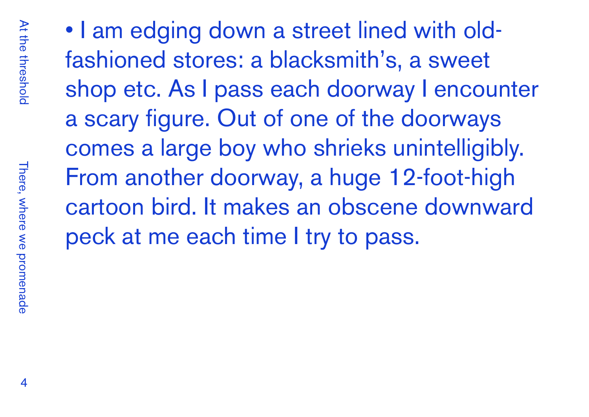• I am edging down a street lined with oldfashioned stores: a blacksmith's, a sweet shop etc. As I pass each doorway I encounter a scary figure. Out of one of the doorways comes a large boy who shrieks unintelligibly. From another doorway, a huge 12-foot-high cartoon bird. It makes an obscene downward peck at me each time I try to pass.

There, where we promenade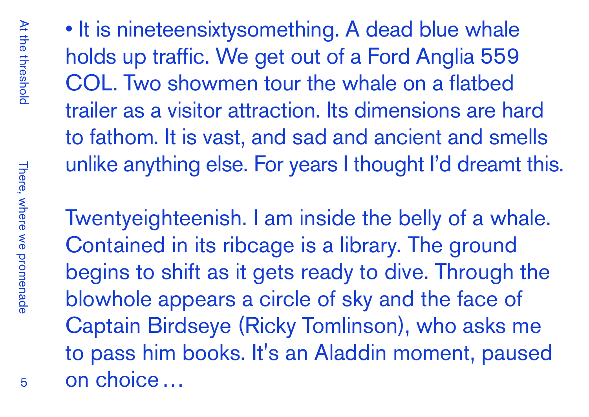At the threshold At the threshold

• It is nineteensixtysomething. A dead blue whale holds up traffic. We get out of a Ford Anglia 559 COL. Two showmen tour the whale on a flatbed trailer as a visitor attraction. Its dimensions are hard to fathom. It is vast, and sad and ancient and smells unlike anything else. For years I thought I'd dreamt this.

Twentyeighteenish. I am inside the belly of a whale. Contained in its ribcage is a library. The ground begins to shift as it gets ready to dive. Through the blowhole appears a circle of sky and the face of Captain Birdseye (Ricky Tomlinson), who asks me to pass him books. It's an Aladdin moment, paused on choice…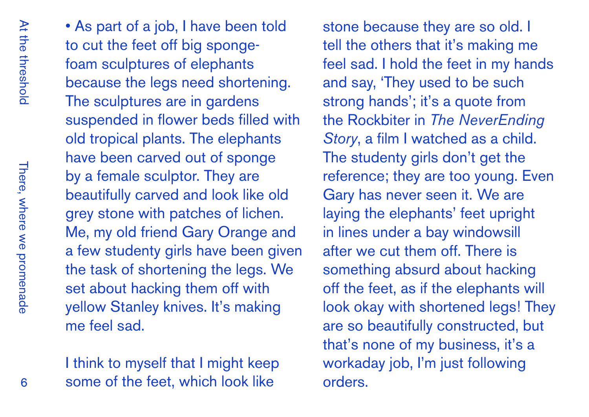There, where we promenade There, where we promenade • As part of a job, I have been told to cut the feet off big spongefoam sculptures of elephants because the legs need shortening. The sculptures are in gardens suspended in flower beds filled with old tropical plants. The elephants have been carved out of sponge by a female sculptor. They are beautifully carved and look like old grey stone with patches of lichen. Me, my old friend Gary Orange and a few studenty girls have been given the task of shortening the legs. We set about hacking them off with yellow Stanley knives. It's making me feel sad.

I think to myself that I might keep some of the feet, which look like

stone because they are so old. I tell the others that it's making me feel sad. I hold the feet in my hands and say, 'They used to be such strong hands'; it's a quote from the Rockbiter in *The NeverEnding Story*, a film I watched as a child. The studenty girls don't get the reference; they are too young. Even Gary has never seen it. We are laying the elephants' feet upright in lines under a bay windowsill after we cut them off. There is something absurd about hacking off the feet, as if the elephants will look okay with shortened legs! They are so beautifully constructed, but that's none of my business, it's a workaday job, I'm just following orders.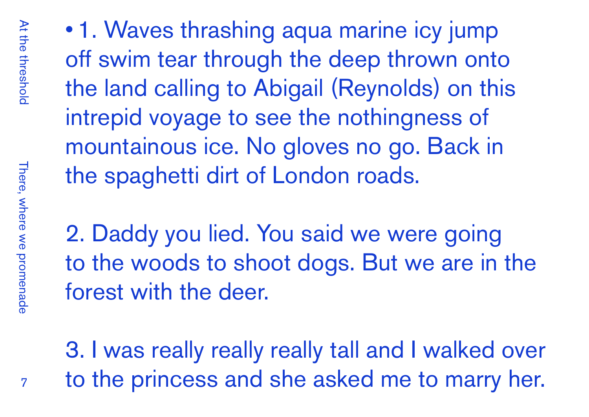• 1. Waves thrashing aqua marine icy jump off swim tear through the deep thrown onto the land calling to Abigail (Reynolds) on this intrepid voyage to see the nothingness of mountainous ice. No gloves no go. Back in the spaghetti dirt of London roads.

2. Daddy you lied. You said we were going to the woods to shoot dogs. But we are in the forest with the deer.

3. I was really really really tall and I walked over to the princess and she asked me to marry her.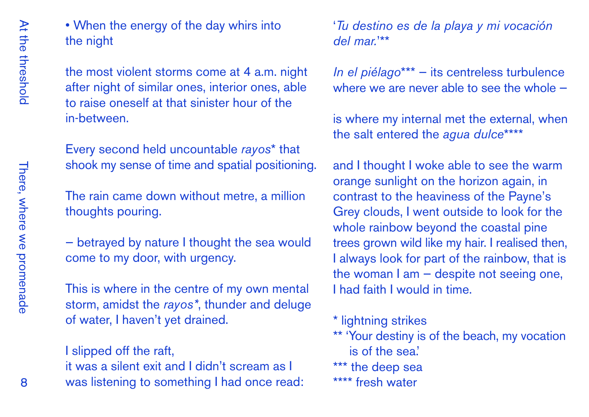• When the energy of the day whirs into the night

the most violent storms come at 4 a.m. night after night of similar ones, interior ones, able to raise oneself at that sinister hour of the in-between.

Every second held uncountable *rayos*\* that shook my sense of time and spatial positioning.

The rain came down without metre, a million thoughts pouring.

— betrayed by nature I thought the sea would come to my door, with urgency.

This is where in the centre of my own mental storm, amidst the *rayos\**, thunder and deluge of water, I haven't yet drained.

## I slipped off the raft,

it was a silent exit and I didn't scream as I was listening to something I had once read: '*Tu destino es de la playa y mi vocación del mar.*'\*\*

*In el piélago*\*\*\* — its centreless turbulence where we are never able to see the whole -

is where my internal met the external, when the salt entered the *agua dulce*\*\*\*\*

and I thought I woke able to see the warm orange sunlight on the horizon again, in contrast to the heaviness of the Payne's Grey clouds, I went outside to look for the whole rainbow beyond the coastal pine trees grown wild like my hair. I realised then, I always look for part of the rainbow, that is the woman I am — despite not seeing one, I had faith I would in time.

\* lightning strikes

- \*\* 'Your destiny is of the beach, my vocation is of the sea.'
- \*\*\* the deep sea
- \*\*\*\* fresh water

There, where we promenade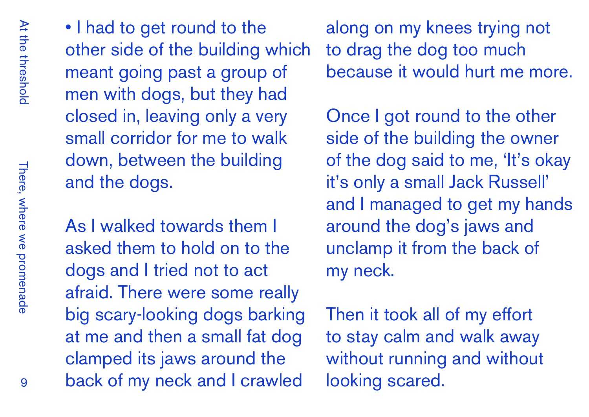• I had to get round to the other side of the building which meant going past a group of men with dogs, but they had closed in, leaving only a very small corridor for me to walk down, between the building and the dogs.

As I walked towards them I asked them to hold on to the dogs and I tried not to act afraid. There were some really big scary-looking dogs barking at me and then a small fat dog clamped its jaws around the back of my neck and I crawled

along on my knees trying not to drag the dog too much because it would hurt me more.

Once I got round to the other side of the building the owner of the dog said to me, 'It's okay it's only a small Jack Russell' and I managed to get my hands around the dog's jaws and unclamp it from the back of my neck.

Then it took all of my effort to stay calm and walk away without running and without looking scared.

There, where we promenade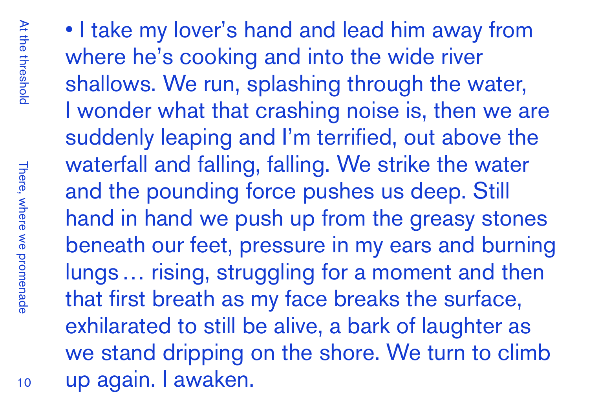• I take my lover's hand and lead him away from where he's cooking and into the wide river shallows. We run, splashing through the water, I wonder what that crashing noise is, then we are suddenly leaping and I'm terrified, out above the waterfall and falling, falling. We strike the water and the pounding force pushes us deep. Still hand in hand we push up from the greasy stones beneath our feet, pressure in my ears and burning lungs… rising, struggling for a moment and then that first breath as my face breaks the surface, exhilarated to still be alive, a bark of laughter as we stand dripping on the shore. We turn to climb up again. I awaken.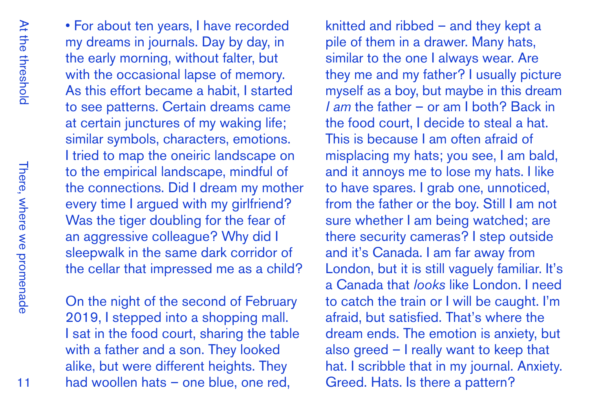• For about ten years, I have recorded my dreams in journals. Day by day, in the early morning, without falter, but with the occasional lapse of memory. As this effort became a habit, I started to see patterns. Certain dreams came at certain junctures of my waking life; similar symbols, characters, emotions. I tried to map the oneiric landscape on to the empirical landscape, mindful of the connections. Did I dream my mother every time I argued with my girlfriend? Was the tiger doubling for the fear of an aggressive colleague? Why did I sleepwalk in the same dark corridor of the cellar that impressed me as a child?

On the night of the second of February 2019, I stepped into a shopping mall. I sat in the food court, sharing the table with a father and a son. They looked alike, but were different heights. They had woollen hats – one blue, one red,

knitted and ribbed – and they kept a pile of them in a drawer. Many hats, similar to the one I always wear. Are they me and my father? I usually picture myself as a boy, but maybe in this dream *I am* the father – or am I both? Back in the food court, I decide to steal a hat. This is because I am often afraid of misplacing my hats; you see, I am bald, and it annoys me to lose my hats. I like to have spares. I grab one, unnoticed, from the father or the boy. Still I am not sure whether I am being watched; are there security cameras? I step outside and it's Canada. I am far away from London, but it is still vaguely familiar. It's a Canada that *looks* like London. I need to catch the train or I will be caught. I'm afraid, but satisfied. That's where the dream ends. The emotion is anxiety, but also greed – I really want to keep that hat. I scribble that in my journal. Anxiety. Greed. Hats. Is there a pattern?

There, where we promenade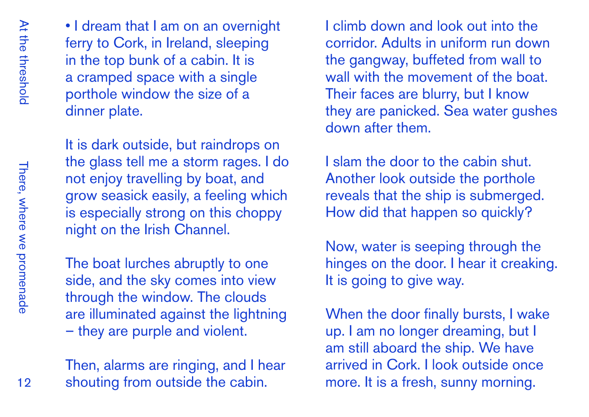• I dream that I am on an overnight ferry to Cork, in Ireland, sleeping in the top bunk of a cabin. It is a cramped space with a single porthole window the size of a dinner plate.

It is dark outside, but raindrops on the glass tell me a storm rages. I do not enjoy travelling by boat, and grow seasick easily, a feeling which is especially strong on this choppy night on the Irish Channel.

The boat lurches abruptly to one side, and the sky comes into view through the window. The clouds are illuminated against the lightning – they are purple and violent.

Then, alarms are ringing, and I hear shouting from outside the cabin.

I climb down and look out into the corridor. Adults in uniform run down the gangway, buffeted from wall to wall with the movement of the boat. Their faces are blurry, but I know they are panicked. Sea water gushes down after them.

I slam the door to the cabin shut. Another look outside the porthole reveals that the ship is submerged. How did that happen so quickly?

Now, water is seeping through the hinges on the door. I hear it creaking. It is going to give way.

When the door finally bursts, I wake up. I am no longer dreaming, but I am still aboard the ship. We have arrived in Cork. I look outside once more. It is a fresh, sunny morning.

There, where we promenade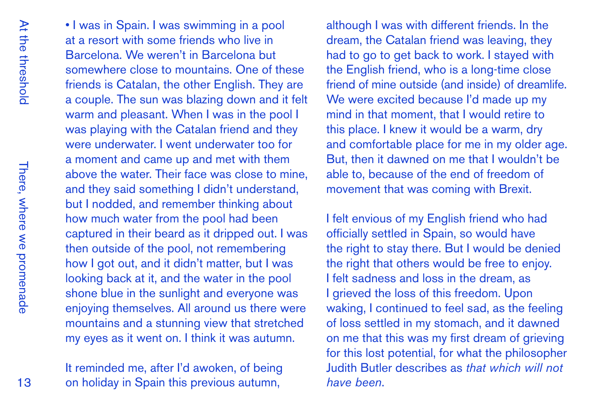There, where we promenade There, where we promenade

• I was in Spain. I was swimming in a pool at a resort with some friends who live in Barcelona. We weren't in Barcelona but somewhere close to mountains. One of these friends is Catalan, the other English. They are a couple. The sun was blazing down and it felt warm and pleasant. When I was in the pool I was playing with the Catalan friend and they were underwater. I went underwater too for a moment and came up and met with them above the water. Their face was close to mine, and they said something I didn't understand, but I nodded, and remember thinking about how much water from the pool had been captured in their beard as it dripped out. I was then outside of the pool, not remembering how I got out, and it didn't matter, but I was looking back at it, and the water in the pool shone blue in the sunlight and everyone was enjoying themselves. All around us there were mountains and a stunning view that stretched my eyes as it went on. I think it was autumn.

It reminded me, after I'd awoken, of being on holiday in Spain this previous autumn,

although I was with different friends. In the dream, the Catalan friend was leaving, they had to go to get back to work. I stayed with the English friend, who is a long-time close friend of mine outside (and inside) of dreamlife. We were excited because I'd made up my mind in that moment, that I would retire to this place. I knew it would be a warm, dry and comfortable place for me in my older age. But, then it dawned on me that I wouldn't be able to, because of the end of freedom of movement that was coming with Brexit.

I felt envious of my English friend who had officially settled in Spain, so would have the right to stay there. But I would be denied the right that others would be free to enjoy. I felt sadness and loss in the dream, as I grieved the loss of this freedom. Upon waking, I continued to feel sad, as the feeling of loss settled in my stomach, and it dawned on me that this was my first dream of grieving for this lost potential, for what the philosopher Judith Butler describes as *that which will not have been*.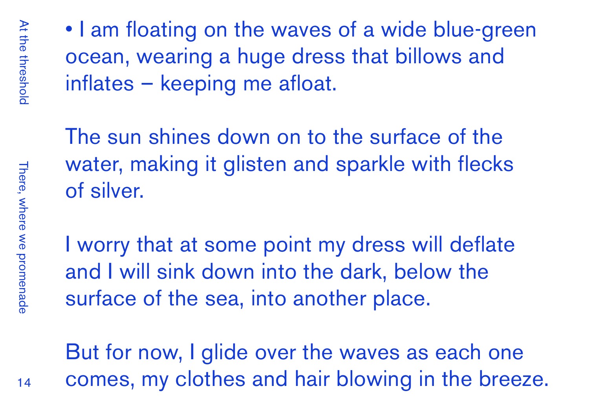• I am floating on the waves of a wide blue-green ocean, wearing a huge dress that billows and inflates – keeping me afloat.

The sun shines down on to the surface of the water, making it glisten and sparkle with flecks of silver.

I worry that at some point my dress will deflate and I will sink down into the dark, below the surface of the sea, into another place.

But for now, I glide over the waves as each one comes, my clothes and hair blowing in the breeze.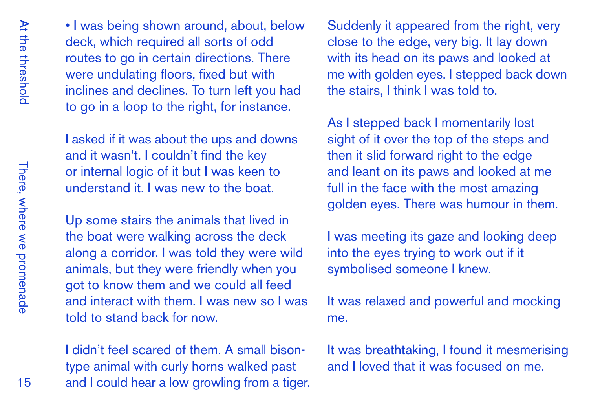• I was being shown around, about, below deck, which required all sorts of odd routes to go in certain directions. There were undulating floors, fixed but with inclines and declines. To turn left you had to go in a loop to the right, for instance.

I asked if it was about the ups and downs and it wasn't. I couldn't find the key or internal logic of it but I was keen to understand it. I was new to the boat.

Up some stairs the animals that lived in the boat were walking across the deck along a corridor. I was told they were wild animals, but they were friendly when you got to know them and we could all feed and interact with them. I was new so I was told to stand back for now.

I didn't feel scared of them. A small bisontype animal with curly horns walked past and I could hear a low growling from a tiger.

Suddenly it appeared from the right, very close to the edge, very big. It lay down with its head on its paws and looked at me with golden eyes. I stepped back down the stairs, I think I was told to.

As I stepped back I momentarily lost sight of it over the top of the steps and then it slid forward right to the edge and leant on its paws and looked at me full in the face with the most amazing golden eyes. There was humour in them.

I was meeting its gaze and looking deep into the eyes trying to work out if it symbolised someone I knew.

It was relaxed and powerful and mocking me.

It was breathtaking, I found it mesmerising and I loved that it was focused on me.

There, where we promenade